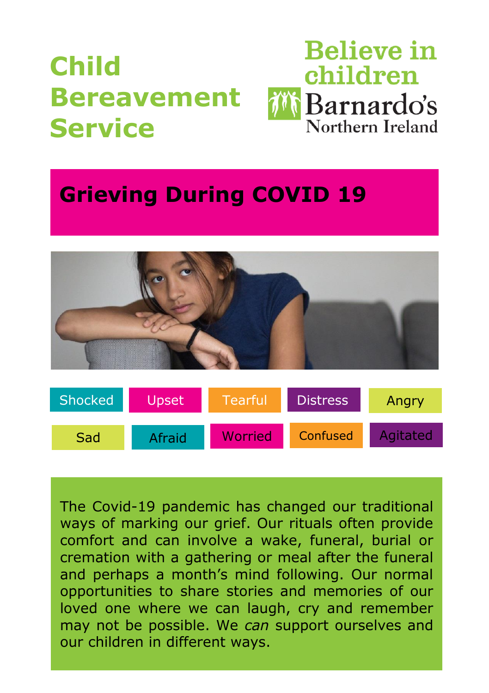# **Child Bereavement Service**



# **Grieving During COVID 19**



| <b>Shocked</b> | Upset  | Tearful | <b>Distress</b> | Angry    |
|----------------|--------|---------|-----------------|----------|
| Sad            | Afraid | Worried | Confused        | Agitated |

The Covid-19 pandemic has changed our traditional ways of marking our grief. Our rituals often provide comfort and can involve a wake, funeral, burial or cremation with a gathering or meal after the funeral and perhaps a month's mind following. Our normal opportunities to share stories and memories of our loved one where we can laugh, cry and remember may not be possible. We *can* support ourselves and our children in different ways.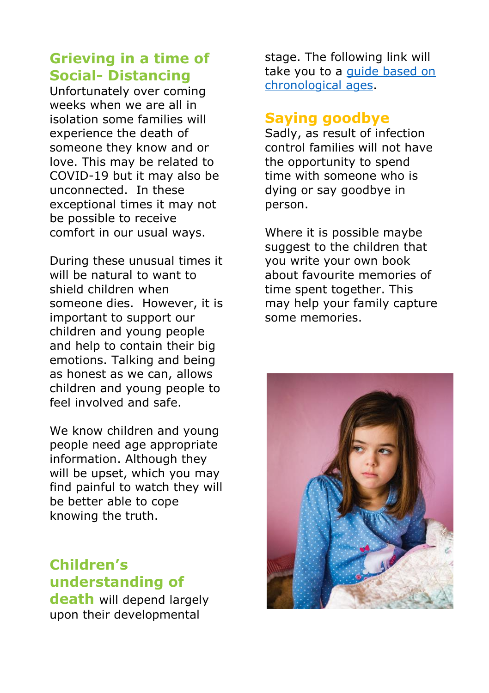# **Grieving in a time of Social- Distancing**

Unfortunately over coming weeks when we are all in isolation some families will experience the death of someone they know and or love. This may be related to COVID-19 but it may also be unconnected. In these exceptional times it may not be possible to receive comfort in our usual ways.

During these unusual times it will be natural to want to shield children when someone dies. However, it is important to support our children and young people and help to contain their big emotions. Talking and being as honest as we can, allows children and young people to feel involved and safe.

We know children and young people need age appropriate information. Although they will be upset, which you may find painful to watch they will be better able to cope knowing the truth.

# **Children's understanding of death** will depend largely

upon their developmental

stage. The following link will take you to a [guide based on](https://cms.barnardos.org.uk/sites/default/files/2020-04/child-bereavement-service-explaining-death-children-young-people-help-cope.pdf)  [chronological ages.](https://cms.barnardos.org.uk/sites/default/files/2020-04/child-bereavement-service-explaining-death-children-young-people-help-cope.pdf)

#### **Saying goodbye**

Sadly, as result of infection control families will not have the opportunity to spend time with someone who is dying or say goodbye in person.

Where it is possible maybe suggest to the children that you write your own book about favourite memories of time spent together. This may help your family capture some memories.

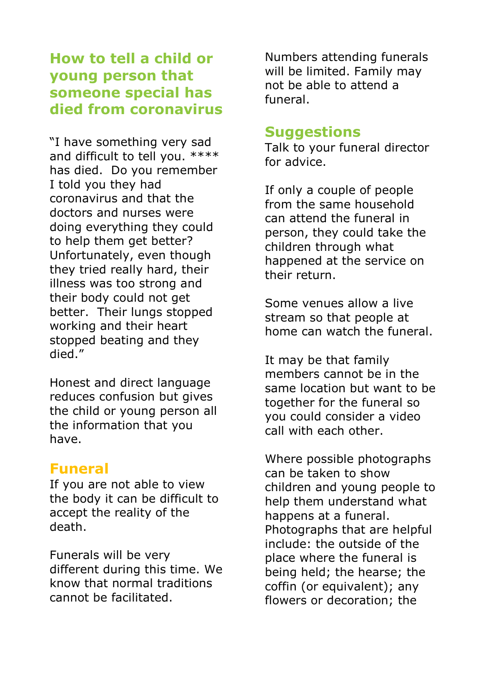## **How to tell a child or young person that someone special has died from coronavirus**

"I have something very sad and difficult to tell you. \*\*\*\* has died. Do you remember I told you they had coronavirus and that the doctors and nurses were doing everything they could to help them get better? Unfortunately, even though they tried really hard, their illness was too strong and their body could not get better. Their lungs stopped working and their heart stopped beating and they died."

Honest and direct language reduces confusion but gives the child or young person all the information that you have.

#### **Funeral**

If you are not able to view the body it can be difficult to accept the reality of the death.

Funerals will be very different during this time. We know that normal traditions cannot be facilitated.

Numbers attending funerals will be limited. Family may not be able to attend a funeral.

#### **Suggestions**

Talk to your funeral director for advice.

If only a couple of people from the same household can attend the funeral in person, they could take the children through what happened at the service on their return.

Some venues allow a live stream so that people at home can watch the funeral.

It may be that family members cannot be in the same location but want to be together for the funeral so you could consider a video call with each other.

Where possible photographs can be taken to show children and young people to help them understand what happens at a funeral. Photographs that are helpful include: the outside of the place where the funeral is being held; the hearse; the coffin (or equivalent); any flowers or decoration; the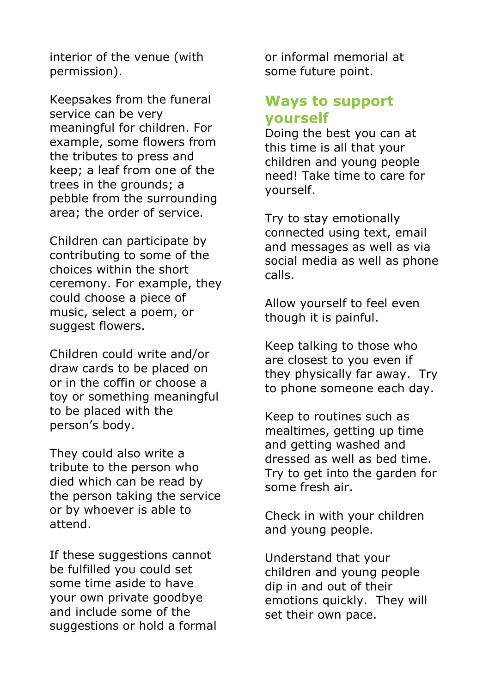interior of the venue (with permission).

Keepsakes from the funeral service can be very meaningful for children. For example, some flowers from the tributes to press and keep; a leaf from one of the trees in the grounds; a pebble from the surrounding area; the order of service.

Children can participate by contributing to some of the choices within the short ceremony. For example, they could choose a piece of music, select a poem, or suggest flowers.

Children could write and/or draw cards to be placed on or in the coffin or choose a toy or something meaningful to be placed with the person's body.

They could also write a tribute to the person who died which can be read by the person taking the service or by whoever is able to attend.

If these suggestions cannot be fulfilled you could set some time aside to have your own private goodbye and include some of the suggestions or hold a formal or informal memorial at some future point.

### **Ways to support yourself**

Doing the best you can at this time is all that your children and young people need! Take time to care for yourself.

Try to stay emotionally connected using text, email and messages as well as via social media as well as phone calls.

Allow yourself to feel even though it is painful.

Keep talking to those who are closest to you even if they physically far away. Try to phone someone each day.

Keep to routines such as mealtimes, getting up time and getting washed and dressed as well as bed time. Try to get into the garden for some fresh air.

Check in with your children and young people.

Understand that your children and young people dip in and out of their emotions quickly. They will set their own pace.